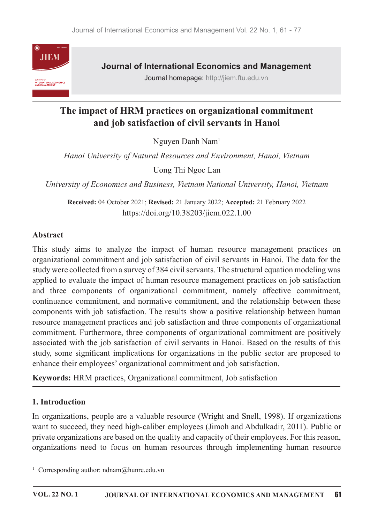

**Journal of International Economics and Management** 

Journal homepage: http://jiem.ftu.edu.vn

# The impact of HRM practices on organizational commitment and job satisfaction of civil servants in Hanoi

Nguyen Danh Nam<sup>1</sup>

Hanoi University of Natural Resources and Environment, Hanoi, Vietnam

Uong Thi Ngoc Lan

University of Economics and Business, Vietnam National University, Hanoi, Vietnam

Received: 04 October 2021; Revised: 21 January 2022; Accepted: 21 February 2022 https://doi.org/10.38203/jiem.022.1.00

#### Abstract

This study aims to analyze the impact of human resource management practices on organizational commitment and job satisfaction of civil servants in Hanoi. The data for the study were collected from a survey of 384 civil servants. The structural equation modeling was applied to evaluate the impact of human resource management practices on job satisfaction and three components of organizational commitment, namely affective commitment, continuance commitment, and normative commitment, and the relationship between these components with job satisfaction. The results show a positive relationship between human resource management practices and job satisfaction and three components of organizational commitment. Furthermore, three components of organizational commitment are positively associated with the job satisfaction of civil servants in Hanoi. Based on the results of this study, some significant implications for organizations in the public sector are proposed to enhance their employees' organizational commitment and job satisfaction.

Keywords: HRM practices, Organizational commitment, Job satisfaction

### 1. Introduction

In organizations, people are a valuable resource (Wright and Snell, 1998). If organizations want to succeed, they need high-caliber employees (Jimoh and Abdulkadir, 2011). Public or private organizations are based on the quality and capacity of their employees. For this reason, organizations need to focus on human resources through implementing human resource

<sup>&</sup>lt;sup>1</sup> Corresponding author: ndnam@hunre.edu.vn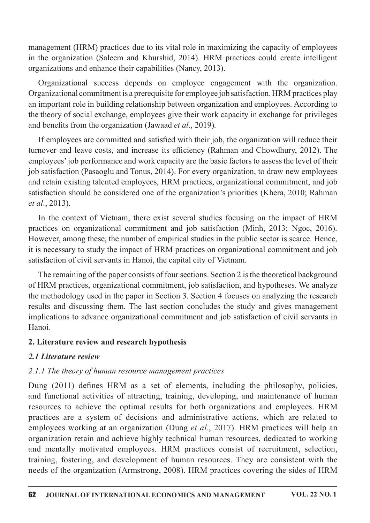management (HRM) practices due to its vital role in maximizing the capacity of employees in the organization (Saleem and Khurshid, 2014). HRM practices could create intelligent organizations and enhance their capabilities (Nancy, 2013).

Organizational success depends on employee engagement with the organization. Organizational commitment is a prerequisite for employee job satisfaction. HRM practices play an important role in building relationship between organization and employees. According to the theory of social exchange, employees give their work capacity in exchange for privileges and benefits from the organization (Jawaad *et al.*, 2019).

If employees are committed and satisfied with their job, the organization will reduce their turnover and leave costs, and increase its efficiency (Rahman and Chowdhury, 2012). The employees' job performance and work capacity are the basic factors to assess the level of their job satisfaction (Pasaoglu and Tonus, 2014). For every organization, to draw new employees and retain existing talented employees, HRM practices, organizational commitment, and job satisfaction should be considered one of the organization's priorities (Khera, 2010; Rahman *et al.*, 2013).

In the context of Vietnam, there exist several studies focusing on the impact of HRM practices on organizational commitment and job satisfaction (Minh, 2013; Ngoc, 2016). However, among these, the number of empirical studies in the public sector is scarce. Hence, it is necessary to study the impact of HRM practices on organizational commitment and job satisfaction of civil servants in Hanoi, the capital city of Vietnam.

The remaining of the paper consists of four sections. Section 2 is the theoretical background of HRM practices, organizational commitment, job satisfaction, and hypotheses. We analyze the methodology used in the paper in Section 3. Section 4 focuses on analyzing the research results and discussing them.The last section concludes the study and gives management implications to advance organizational commitment and job satisfaction of civil servants in Hanoi.

### 2. Literature review and research hypothesis

### 2.1 Literature review

### $2.1.1$  The theory of human resource management practices

Dung (2011) defines HRM as a set of elements, including the philosophy, policies, and functional activities of attracting, training, developing, and maintenance of human resources to achieve the optimal results for both organizations and employees. HRM practices are a system of decisions and administrative actions, which are related to employees working at an organization (Dung *et al.*, 2017). HRM practices will help an organization retain and achieve highly technical human resources, dedicated to working and mentally motivated employees. HRM practices consist of recruitment, selection, training, fostering, and development of human resources. They are consistent with the needs of the organization (Armstrong, 2008). HRM practices covering the sides of HRM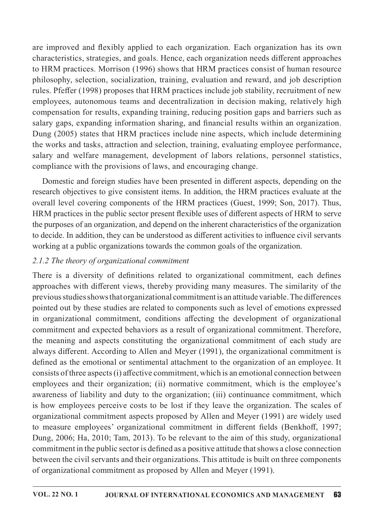are improved and flexibly applied to each organization. Each organization has its own characteristics, strategies, and goals. Hence, each organization needs different approaches to HRM practices. Morrison (1996) shows that HRM practices consist of human resource philosophy, selection, socialization, training, evaluation and reward, and job description rules. Pfeffer (1998) proposes that HRM practices include job stability, recruitment of new employees, autonomous teams and decentralization in decision making, relatively high compensation for results, expanding training, reducing position gaps and barriers such as salary gaps, expanding information sharing, and financial results within an organization. Dung (2005) states that HRM practices include nine aspects, which include determining the works and tasks, attraction and selection, training, evaluating employee performance, salary and welfare management, development of labors relations, personnel statistics, compliance with the provisions of laws, and encouraging change.

Domestic and foreign studies have been presented in different aspects, depending on the research objectives to give consistent items. In addition, the HRM practices evaluate at the overall level covering components of the HRM practices (Guest, 1999; Son, 2017). Thus, HRM practices in the public sector present flexible uses of different aspects of HRM to serve the purposes of an organization, and depend on the inherent characteristics of the organization to decide. In addition, they can be understood as different activities to influence civil servants working at a public organizations towards the common goals of the organization.

# $2.1.2$  The theory of organizational commitment

There is a diversity of definitions related to organizational commitment, each defines approaches with different views, thereby providing many measures. The similarity of the previous studies shows that organizational commitment is an attitude variable. The differences pointed out by these studies are related to components such as level of emotions expressed in organizational commitment, conditions affecting the development of organizational commitment and expected behaviors as a result of organizational commitment. Therefore, the meaning and aspects constituting the organizational commitment of each study are always different. According to Allen and Meyer (1991), the organizational commitment is defined as the emotional or sentimental attachment to the organization of an employee. It consists of three aspects  $(i)$  affective commitment, which is an emotional connection between employees and their organization; (ii) normative commitment, which is the employee's awareness of liability and duty to the organization; (iii) continuance commitment, which is how employees perceive costs to be lost if they leave the organization. The scales of organizational commitment aspects proposed by Allen and Meyer (1991) are widely used to measure employees' organizational commitment in different fields (Benkhoff, 1997; Dung, 2006; Ha, 2010; Tam, 2013). To be relevant to the aim of this study, organizational commitment in the public sector is defined as a positive attitude that shows a close connection between the civil servants and their organizations. This attitude is built on three components of organizational commitment as proposed by Allen and Meyer (1991).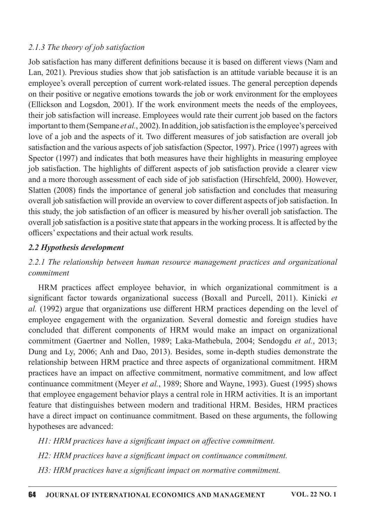#### 2.1.3 The theory of job satisfaction

Job satisfaction has many different definitions because it is based on different views (Nam and Lan, 2021). Previous studies show that job satisfaction is an attitude variable because it is an employee's overall perception of current work-related issues. The general perception depends on their positive or negative emotions towards the job or work environment for the employees (Ellickson and Logsdon, 2001). If the work environment meets the needs of the employees, their job satisfaction will increase. Employees would rate their current job based on the factors important to them (Sempane *et al.*, 2002). In addition, job satisfaction is the employee's perceived love of a job and the aspects of it. Two different measures of job satisfaction are overall job satisfaction and the various aspects of job satisfaction (Spector, 1997). Price (1997) agrees with Spector (1997) and indicates that both measures have their highlights in measuring employee job satisfaction. The highlights of different aspects of job satisfaction provide a clearer view and a more thorough assessment of each side of job satisfaction (Hirschfeld, 2000). However, Slatten  $(2008)$  finds the importance of general job satisfaction and concludes that measuring overall job satisfaction will provide an overview to cover different aspects of job satisfaction. In this study, the job satisfaction of an officer is measured by his/her overall job satisfaction. The overall job satisfaction is a positive state that appears in the working process. It is affected by the officers' expectations and their actual work results.

#### 2.2 Hypothesis development

## 2.2.1 The relationship between human resource management practices and organizational commitment

HRM practices affect employee behavior, in which organizational commitment is a significant factor towards organizational success (Boxall and Purcell, 2011). Kinicki  $et$ al. (1992) argue that organizations use different HRM practices depending on the level of employee engagement with the organization. Several domestic and foreign studies have concluded that different components of HRM would make an impact on organizational commitment (Gaertner and Nollen, 1989; Laka-Mathebula, 2004; Sendogdu et al., 2013; Dung and Ly, 2006; Anh and Dao, 2013). Besides, some in-depth studies demonstrate the relationship between HRM practice and three aspects of organizational commitment. HRM practices have an impact on affective commitment, normative commitment, and low affect continuance commitment (Meyer et al., 1989; Shore and Wayne, 1993). Guest (1995) shows that employee engagement behavior plays a central role in HRM activities. It is an important feature that distinguishes between modern and traditional HRM. Besides, HRM practices have a direct impact on continuance commitment. Based on these arguments, the following hypotheses are advanced:

H1: HRM practices have a significant impact on affective commitment. H2: HRM practices have a significant impact on continuance commitment. H3: HRM practices have a significant impact on normative commitment.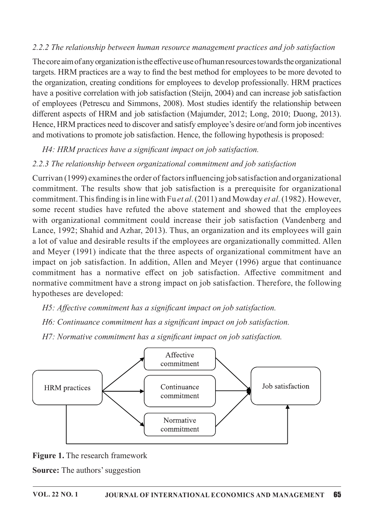### 2.2.2 The relationship between human resource management practices and job satisfaction

The core aim of any organization is the effective use of human resources towards the organizational targets. HRM practices are a way to find the best method for employees to be more devoted to the organization, creating conditions for employees to develop professionally. HRM practices have a positive correlation with job satisfaction (Steijn, 2004) and can increase job satisfaction of employees (Petrescu and Simmons, 2008). Most studies identify the relationship between different aspects of HRM and job satisfaction (Majumder, 2012; Long, 2010; Duong, 2013). Hence, HRM practices need to discover and satisfy employee's desire or/and form job incentives and motivations to promote job satisfaction. Hence, the following hypothesis is proposed:

H4: HRM practices have a significant impact on job satisfaction.

### 2.2.3 The relationship between organizational commitment and job satisfaction

Currivan (1999) examines the order of factors influencing job satisfaction and organizational commitment. The results show that job satisfaction is a prerequisite for organizational commitment. This finding is in line with Fu *et al.* (2011) and Mowday *et al.* (1982). However, some recent studies have refuted the above statement and showed that the employees with organizational commitment could increase their job satisfaction (Vandenberg and Lance, 1992; Shahid and Azhar, 2013). Thus, an organization and its employees will gain a lot of value and desirable results if the employees are organizationally committed. Allen and Meyer (1991) indicate that the three aspects of organizational commitment have an impact on job satisfaction. In addition, Allen and Meyer (1996) argue that continuance commitment has a normative effect on job satisfaction. Affective commitment and normative commitment have a strong impact on job satisfaction. Therefore, the following hypotheses are developed:

H5: Affective commitment has a significant impact on job satisfaction.

H6: Continuance commitment has a significant impact on job satisfaction.

H7: Normative commitment has a significant impact on job satisfaction.



Figure 1. The research framework

**Source:** The authors' suggestion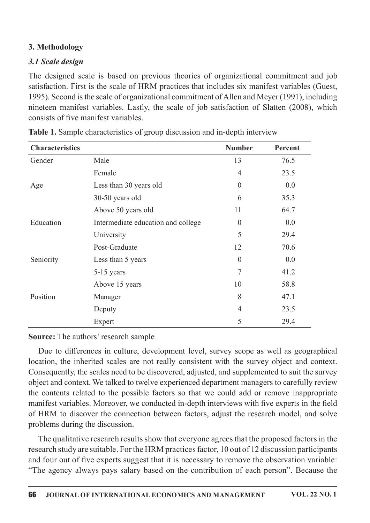### 3.Methodology

### 3.1 Scale design

The designed scale is based on previous theories of organizational commitment and job satisfaction. First is the scale of HRM practices that includes six manifest variables (Guest, 1995). Second is the scale of organizational commitment of Allen and Meyer (1991), including nineteen manifest variables. Lastly, the scale of job satisfaction of Slatten (2008), which consists of five manifest variables.

| <b>Characteristics</b> |                                    | <b>Number</b>  | <b>Percent</b> |
|------------------------|------------------------------------|----------------|----------------|
| Gender                 | Male                               | 13             | 76.5           |
|                        | Female                             | $\overline{4}$ | 23.5           |
| Age                    | Less than 30 years old             | $\overline{0}$ | 0.0            |
|                        | 30-50 years old                    | 6              | 35.3           |
|                        | Above 50 years old                 | 11             | 64.7           |
| Education              | Intermediate education and college | $\Omega$       | 0.0            |
|                        | University                         | 5              | 29.4           |
|                        | Post-Graduate                      | 12             | 70.6           |
| Seniority              | Less than 5 years                  | $\overline{0}$ | 0.0            |
|                        | 5-15 years                         | 7              | 41.2           |
|                        | Above 15 years                     | 10             | 58.8           |
| Position               | Manager                            | 8              | 47.1           |
|                        | Deputy                             | 4              | 23.5           |
|                        | Expert                             | 5              | 29.4           |

Table 1. Sample characteristics of group discussion and in-depth interview

### Source: The authors' research sample

Due to differences in culture, development level, survey scope as well as geographical location, the inherited scales are not really consistent with the survey object and context. Consequently, the scales need to be discovered, adjusted, and supplemented to suit the survey object and context. We talked to twelve experienced department managers to carefully review the contents related to the possible factors so that we could add or remove inappropriate manifest variables. Moreover, we conducted in-depth interviews with five experts in the field of HRM to discover the connection between factors, adjust the research model, and solve problems during the discussion.

The qualitative research results show that everyone agrees that the proposed factors in the research study are suitable. For the HRM practices factor, 10 out of 12 discussion participants and four out of five experts suggest that it is necessary to remove the observation variable: "The agency always pays salary based on the contribution of each person". Because the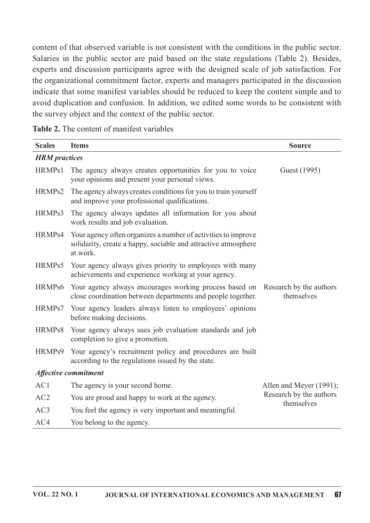content of that observed variable is not consistent with the conditions in the public sector. Salaries in the public sector are paid based on the state regulations (Table 2). Besides, experts and discussion participants agree with the designed scale of job satisfaction. For the organizational commitment factor, experts and managers participated in the discussion indicate that some manifest variables should be reduced to keep the content simple and to avoid duplication and confusion. In addition, we edited some words to be consistent with the survey object and the context of the public sector.

| Table 2. The content of manifest variables |  |  |
|--------------------------------------------|--|--|
|--------------------------------------------|--|--|

| <b>Scales</b>        | <b>Items</b>                                                                                                                                  | <b>Source</b>                         |
|----------------------|-----------------------------------------------------------------------------------------------------------------------------------------------|---------------------------------------|
| <b>HRM</b> practices |                                                                                                                                               |                                       |
| HRMPs1               | The agency always creates opportunities for you to voice<br>your opinions and present your personal views.                                    | Guest (1995)                          |
| HRMP <sub>s2</sub>   | The agency always creates conditions for you to train yourself<br>and improve your professional qualifications.                               |                                       |
| HRMP <sub>s</sub> 3  | The agency always updates all information for you about<br>work results and job evaluation.                                                   |                                       |
| HRMPs4               | Your agency often organizes a number of activities to improve<br>solidarity, create a happy, sociable and attractive atmosphere<br>at work.   |                                       |
| HRMPs5               | Your agency always gives priority to employees with many<br>achievements and experience working at your agency.                               |                                       |
| HRMPs6               | Your agency always encourages working process based on Research by the authors<br>close coordination between departments and people together. | themselves                            |
| HRMPs7               | Your agency leaders always listen to employees' opinions<br>before making decisions.                                                          |                                       |
| HRMPs8               | Your agency always uses job evaluation standards and job<br>completion to give a promotion.                                                   |                                       |
| HRMPs9               | Your agency's recruitment policy and procedures are built<br>according to the regulations issued by the state.                                |                                       |
|                      | <b>Affective commitment</b>                                                                                                                   |                                       |
| AC1                  | The agency is your second home.                                                                                                               | Allen and Meyer (1991);               |
| AC2                  | You are proud and happy to work at the agency.                                                                                                | Research by the authors<br>themselves |
| AC3                  | You feel the agency is very important and meaningful.                                                                                         |                                       |
| AC4                  | You belong to the agency.                                                                                                                     |                                       |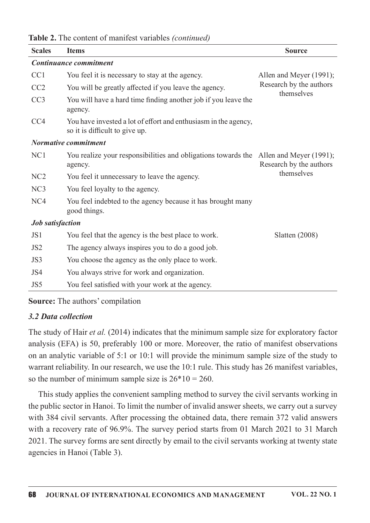| Table 2. The content of manifest variables (continued) |  |
|--------------------------------------------------------|--|
|--------------------------------------------------------|--|

| <b>Scales</b>           | <b>Items</b>                                                                                      | <b>Source</b>                         |
|-------------------------|---------------------------------------------------------------------------------------------------|---------------------------------------|
|                         | Continuance commitment                                                                            |                                       |
| CC1                     | You feel it is necessary to stay at the agency.                                                   | Allen and Meyer (1991);               |
| CC2                     | You will be greatly affected if you leave the agency.                                             | Research by the authors<br>themselves |
| CC <sub>3</sub>         | You will have a hard time finding another job if you leave the<br>agency.                         |                                       |
| CC <sub>4</sub>         | You have invested a lot of effort and enthusiasm in the agency,<br>so it is difficult to give up. |                                       |
|                         | <b>Normative commitment</b>                                                                       |                                       |
| NC1                     | You realize your responsibilities and obligations towards the Allen and Meyer (1991);<br>agency.  | Research by the authors               |
| NC <sub>2</sub>         | You feel it unnecessary to leave the agency.                                                      | themselves                            |
| NC3                     | You feel loyalty to the agency.                                                                   |                                       |
| NC4                     | You feel indebted to the agency because it has brought many<br>good things.                       |                                       |
| <b>Job</b> satisfaction |                                                                                                   |                                       |
| JS1                     | You feel that the agency is the best place to work.                                               | Slatten $(2008)$                      |
| JS <sub>2</sub>         | The agency always inspires you to do a good job.                                                  |                                       |
| JS3                     | You choose the agency as the only place to work.                                                  |                                       |
| JS4                     | You always strive for work and organization.                                                      |                                       |
| JS5                     | You feel satisfied with your work at the agency.                                                  |                                       |

Source: The authors' compilation

### 3.2 Data collection

The study of Hair et al. (2014) indicates that the minimum sample size for exploratory factor analysis (EFA) is 50, preferably 100 or more. Moreover, the ratio of manifest observations on an analytic variable of 5:1 or 10:1 will provide the minimum sample size of the study to warrant reliability. In our research, we use the 10:1 rule. This study has 26 manifest variables, so the number of minimum sample size is  $26*10=260$ .

This study applies the convenient sampling method to survey the civil servants working in the public sector in Hanoi. To limit the number of invalid answer sheets, we carry out a survey with 384 civil servants. After processing the obtained data, there remain 372 valid answers with a recovery rate of 96.9%. The survey period starts from 01 March 2021 to 31 March 2021. The survey forms are sent directly by email to the civil servants working at twenty state agencies in Hanoi (Table 3).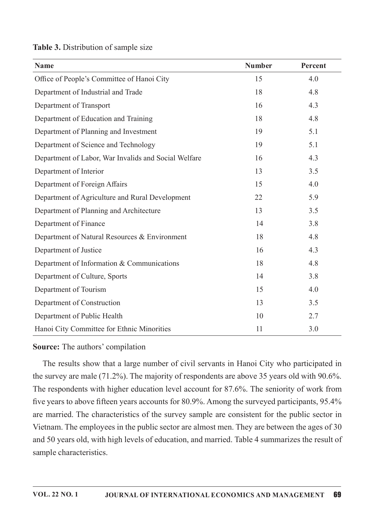| <b>Name</b>                                          | <b>Number</b> | Percent |
|------------------------------------------------------|---------------|---------|
| Office of People's Committee of Hanoi City           | 15            | 4.0     |
| Department of Industrial and Trade                   | 18            | 4.8     |
| Department of Transport                              | 16            | 4.3     |
| Department of Education and Training                 | 18            | 4.8     |
| Department of Planning and Investment                | 19            | 5.1     |
| Department of Science and Technology                 | 19            | 5.1     |
| Department of Labor, War Invalids and Social Welfare | 16            | 4.3     |
| Department of Interior                               | 13            | 3.5     |
| Department of Foreign Affairs                        | 15            | 4.0     |
| Department of Agriculture and Rural Development      | 22            | 5.9     |
| Department of Planning and Architecture              | 13            | 3.5     |
| Department of Finance                                | 14            | 3.8     |
| Department of Natural Resources & Environment        | 18            | 4.8     |
| Department of Justice                                | 16            | 4.3     |
| Department of Information & Communications           | 18            | 4.8     |
| Department of Culture, Sports                        | 14            | 3.8     |
| Department of Tourism                                | 15            | 4.0     |
| Department of Construction                           | 13            | 3.5     |
| Department of Public Health                          | 10            | 2.7     |
| Hanoi City Committee for Ethnic Minorities           | 11            | 3.0     |

#### Table 3. Distribution of sample size

#### Source: The authors' compilation

The results show that a large number of civil servants in Hanoi City who participated in the survey are male  $(71.2\%)$ . The majority of respondents are above 35 years old with 90.6%. The respondents with higher education level account for 87.6%. The seniority of work from five years to above fifteen years accounts for 80.9%. Among the surveyed participants, 95.4% are married. The characteristics of the survey sample are consistent for the public sector in Vietnam. The employees in the public sector are almost men. They are between the ages of 30 and 50 years old, with high levels of education, and married. Table 4 summarizes the result of sample characteristics.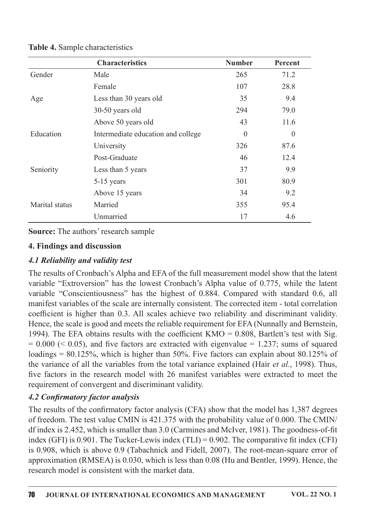|                | <b>Characteristics</b>             | <b>Number</b> | Percent  |
|----------------|------------------------------------|---------------|----------|
| Gender         | Male                               | 265           | 71.2     |
|                | Female                             | 107           | 28.8     |
| Age            | Less than 30 years old             | 35            | 9.4      |
|                | 30-50 years old                    | 294           | 79.0     |
|                | Above 50 years old                 | 43            | 11.6     |
| Education      | Intermediate education and college | $\Omega$      | $\Omega$ |
|                | University                         | 326           | 87.6     |
|                | Post-Graduate                      | 46            | 12.4     |
| Seniority      | Less than 5 years                  | 37            | 9.9      |
|                | 5-15 years                         | 301           | 80.9     |
|                | Above 15 years                     | 34            | 9.2      |
| Marital status | Married                            | 355           | 95.4     |
|                | Unmarried                          | 17            | 4.6      |

Table 4. Sample characteristics

Source: The authors' research sample

### 4. Findings and discussion

### 4.1 Reliability and validity test

The results of Cronbach's Alpha and EFA of the full measurement model show that the latent variable "Extroversion" has the lowest Cronbach's Alpha value of 0.775, while the latent variable "Conscientiousness" has the highest of 0.884. Compared with standard 0.6, all manifest variables of the scale are internally consistent. The corrected item - total correlation coefficient is higher than 0.3. All scales achieve two reliability and discriminant validity. Hence, the scale is good and meets the reliable requirement for EFA (Nunnally and Bernstein, 1994). The EFA obtains results with the coefficient KMO =  $0.808$ , Bartlett's test with Sig.  $= 0.000 \, \text{(&} \, 0.05)$ , and five factors are extracted with eigenvalue  $= 1.237$ ; sums of squared loadings = 80.125%, which is higher than 50%. Five factors can explain about 80.125% of the variance of all the variables from the total variance explained (Hair et al., 1998). Thus, five factors in the research model with 26 manifest variables were extracted to meet the requirement of convergent and discriminant validity.

### 4.2 Confirmatory factor analysis

The results of the confirmatory factor analysis (CFA) show that the model has 1,387 degrees of freedom. The test value CMIN is  $421.375$  with the probability value of 0.000. The CMIN/ df index is 2.452, which is smaller than  $3.0$  (Carmines and McIver, 1981). The goodness-of-fit index (GFI) is 0.901. The Tucker-Lewis index (TLI) =  $0.902$ . The comparative fit index (CFI) is 0.908, which is above 0.9 (Tabachnick and Fidell, 2007). The root-mean-square error of approximation (RMSEA) is 0.030, which is less than 0.08 (Hu and Bentler, 1999). Hence, the research model is consistent with the market data.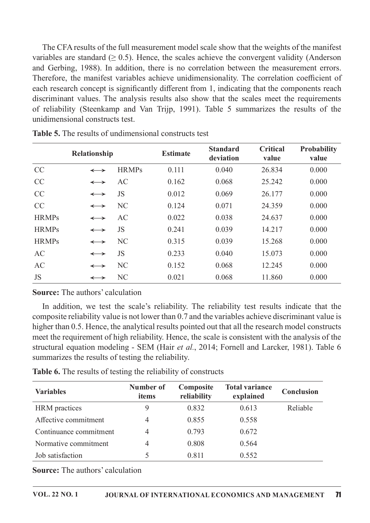The CFA results of the full measurement model scale show that the weights of the manifest variables are standard ( $\geq 0.5$ ). Hence, the scales achieve the convergent validity (Anderson and Gerbing, 1988). In addition, there is no correlation between the measurement errors. Therefore, the manifest variables achieve unidimensionality. The correlation coefficient of each research concept is significantly different from 1, indicating that the components reach discriminant values. The analysis results also show that the scales meet the requirements of reliability (Steenkamp and Van Trijp, 1991). Table 5 summarizes the results of the unidimensional constructs test.

|              | Relationship          |                | <b>Estimate</b> | <b>Standard</b><br>deviation | <b>Critical</b><br>value | <b>Probability</b><br>value |
|--------------|-----------------------|----------------|-----------------|------------------------------|--------------------------|-----------------------------|
| CC           | $\leftrightarrow$     | <b>HRMPs</b>   | 0.111           | 0.040                        | 26.834                   | 0.000                       |
| <b>CC</b>    | $\leftrightarrow$     | AC             | 0.162           | 0.068                        | 25.242                   | 0.000                       |
| CC           | $\longleftrightarrow$ | JS             | 0.012           | 0.069                        | 26.177                   | 0.000                       |
| <b>CC</b>    | $\longleftrightarrow$ | N <sub>C</sub> | 0.124           | 0.071                        | 24.359                   | 0.000                       |
| <b>HRMPs</b> | $\longleftrightarrow$ | AC             | 0.022           | 0.038                        | 24.637                   | 0.000                       |
| <b>HRMPs</b> | $\leftrightarrow$     | <b>JS</b>      | 0.241           | 0.039                        | 14.217                   | 0.000                       |
| <b>HRMPs</b> | $\longleftrightarrow$ | N <sub>C</sub> | 0.315           | 0.039                        | 15.268                   | 0.000                       |
| AC           | $\longleftrightarrow$ | <b>JS</b>      | 0.233           | 0.040                        | 15.073                   | 0.000                       |
| AC           | $\longleftrightarrow$ | N <sub>C</sub> | 0.152           | 0.068                        | 12.245                   | 0.000                       |
| <b>JS</b>    | $\longleftrightarrow$ | N <sub>C</sub> | 0.021           | 0.068                        | 11.860                   | 0.000                       |

Table 5. The results of undimensional constructs test

#### **Source:** The authors' calculation

In addition, we test the scale's reliability. The reliability test results indicate that the composite reliability value is not lower than 0.7 and the variables achieve discriminant value is higher than 0.5. Hence, the analytical results pointed out that all the research model constructs meet the requirement of high reliability. Hence, the scale is consistent with the analysis of the structural equation modeling - SEM (Hair et al., 2014; Fornell and Larcker, 1981). Table 6 summarizes the results of testing the reliability.

| Table 6. The results of testing the reliability of constructs |  |  |  |
|---------------------------------------------------------------|--|--|--|
|---------------------------------------------------------------|--|--|--|

| <b>Variables</b>       | Number of<br>items | Composite<br>reliability | <b>Total variance</b><br>explained | <b>Conclusion</b> |
|------------------------|--------------------|--------------------------|------------------------------------|-------------------|
| <b>HRM</b> practices   | 9                  | 0.832                    | 0.613                              | Reliable          |
| Affective commitment   | 4                  | 0.855                    | 0.558                              |                   |
| Continuance commitment | 4                  | 0.793                    | 0.672                              |                   |
| Normative commitment   | 4                  | 0.808                    | 0.564                              |                   |
| Job satisfaction       |                    | 0.811                    | 0.552                              |                   |

**Source:** The authors' calculation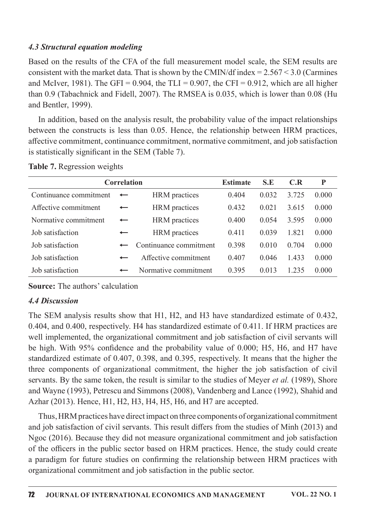#### 4.3 Structural equation modeling

Based on the results of the CFA of the full measurement model scale, the SEM results are consistent with the market data. That is shown by the CMIN/df index =  $2.567 < 3.0$  (Carmines and McIver, 1981). The GFI = 0.904, the TLI = 0.907, the CFI = 0.912, which are all higher than 0.9 (Tabachnick and Fidell, 2007). The RMSEA is 0.035, which is lower than 0.08 (Hu and Bentler, 1999).

In addition, based on the analysis result, the probability value of the impact relationships between the constructs is less than 0.05. Hence, the relationship between HRM practices, affective commitment, continuance commitment, normative commitment, and job satisfaction is statistically significant in the SEM (Table 7).

| <b>Correlation</b>     |                          |                        | <b>Estimate</b> | S.E   | C.R   | P     |
|------------------------|--------------------------|------------------------|-----------------|-------|-------|-------|
| Continuance commitment |                          | <b>HRM</b> practices   | 0.404           | 0.032 | 3.725 | 0.000 |
| Affective commitment   | $\overline{\phantom{0}}$ | <b>HRM</b> practices   | 0.432           | 0.021 | 3.615 | 0.000 |
| Normative commitment   | $\overline{\phantom{0}}$ | <b>HRM</b> practices   | 0.400           | 0.054 | 3.595 | 0.000 |
| Job satisfaction       | $\overline{\phantom{0}}$ | <b>HRM</b> practices   | 0.411           | 0.039 | 1.821 | 0.000 |
| Job satisfaction       |                          | Continuance commitment | 0.398           | 0.010 | 0.704 | 0.000 |
| Job satisfaction       |                          | Affective commitment   | 0.407           | 0.046 | 1.433 | 0.000 |
| Job satisfaction       |                          | Normative commitment   | 0.395           | 0.013 | 1.235 | 0.000 |

Table 7. Regression weights

**Source:** The authors' calculation

### 4.4Discussion

The SEM analysis results show that H1, H2, and H3 have standardized estimate of 0.432, 0.404, and 0.400, respectively. H4 has standardized estimate of 0.411. If HRM practices are well implemented, the organizational commitment and job satisfaction of civil servants will be high. With  $95\%$  confidence and the probability value of 0.000; H5, H6, and H7 have standardized estimate of 0.407, 0.398, and 0.395, respectively. It means that the higher the three components of organizational commitment, the higher the job satisfaction of civil servants. By the same token, the result is similar to the studies of Meyer *et al.* (1989), Shore and Wayne (1993), Petrescu and Simmons (2008), Vandenberg and Lance (1992), Shahid and Azhar (2013). Hence, H1, H2, H3, H4, H5, H6, and H7 are accepted.

Thus, HRM practices have direct impact on three components of organizational commitment and job satisfaction of civil servants. This result differs from the studies of Minh (2013) and Ngoc (2016). Because they did not measure organizational commitment and job satisfaction of the officers in the public sector based on HRM practices. Hence, the study could create a paradigm for future studies on confirming the relationship between HRM practices with organizational commitment and job satisfaction in the public sector.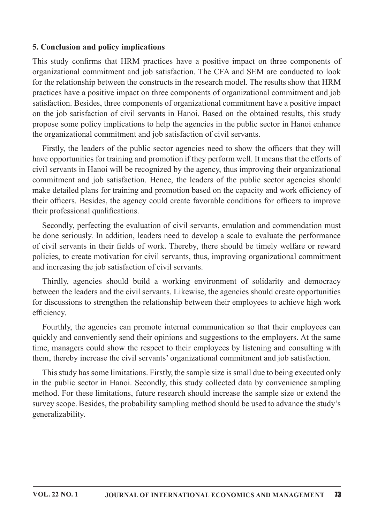#### **5. Conclusion and policy implications**

This study confirms that HRM practices have a positive impact on three components of organizational commitment and job satisfaction. The CFA and SEM are conducted to look for the relationship between the constructs in the research model. The results show that HRM practices have a positive impact on three components of organizational commitment and job satisfaction. Besides, three components of organizational commitment have a positive impact on the job satisfaction of civil servants in Hanoi. Based on the obtained results, this study propose some policy implications to help the agencies in the public sector in Hanoi enhance the organizational commitment and job satisfaction of civil servants.

Firstly, the leaders of the public sector agencies need to show the officers that they will have opportunities for training and promotion if they perform well. It means that the efforts of civil servants in Hanoi will be recognized by the agency, thus improving their organizational commitment and job satisfaction. Hence, the leaders of the public sector agencies should make detailed plans for training and promotion based on the capacity and work efficiency of their officers. Besides, the agency could create favorable conditions for officers to improve their professional qualifications.

Secondly, perfecting the evaluation of civil servants, emulation and commendation must be done seriously. In addition, leaders need to develop a scale to evaluate the performance of civil servants in their fields of work. Thereby, there should be timely welfare or reward policies, to create motivation for civil servants, thus, improving organizational commitment and increasing the job satisfaction of civil servants.

Thirdly, agencies should build a working environment of solidarity and democracy between the leaders and the civil servants. Likewise, the agencies should create opportunities for discussions to strengthen the relationship between their employees to achieve high work efficiency.

Fourthly, the agencies can promote internal communication so that their employees can quickly and conveniently send their opinions and suggestions to the employers. At the same time, managers could show the respect to their employees by listening and consulting with them, thereby increase the civil servants' organizational commitment and job satisfaction.

This study has some limitations. Firstly, the sample size is small due to being executed only in the public sector in Hanoi. Secondly, this study collected data by convenience sampling method. For these limitations, future research should increase the sample size or extend the survey scope. Besides, the probability sampling method should be used to advance the study's generalizability.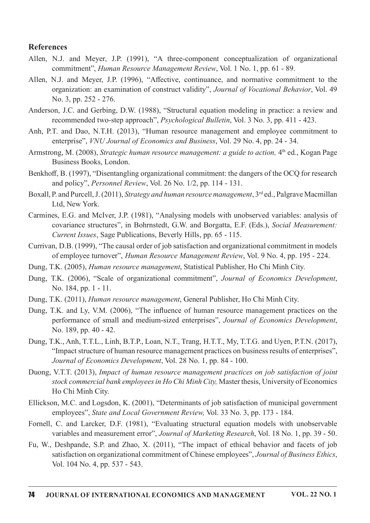#### **References**

- Allen, N.J. and Meyer, J.P. (1991), "A three-component conceptualization of organizational commitment", Human Resource Management Review, Vol. 1 No. 1, pp. 61 - 89.
- Allen, N.J. and Meyer, J.P. (1996), "Affective, continuance, and normative commitment to the organization: an examination of construct validity", Journal of Vocational Behavior, Vol. 49 No.3,pp.252-276.
- Anderson, J.C. and Gerbing, D.W. (1988), "Structural equation modeling in practice: a review and recommended two-step approach", Psychological Bulletin, Vol. 3 No. 3, pp. 411 - 423.
- Anh, P.T. and Dao, N.T.H. (2013), "Human resource management and employee commitment to enterprise", VNU Journal of Economics and Business, Vol. 29 No. 4, pp. 24 - 34.
- Armstrong, M. (2008), Strategic human resource management: a guide to action, 4<sup>th</sup> ed., Kogan Page Business Books, London.
- Benkhoff, B. (1997), "Disentangling organizational commitment: the dangers of the OCQ for research and policy", *Personnel Review*, Vol. 26 No.  $1/2$ , pp. 114 - 131.
- Boxall, P. and Purcell, J. (2011), Strategy and human resource management, 3<sup>rd</sup> ed., Palgrave Macmillan Ltd, New York.
- Carmines, E.G. and McIver, J.P. (1981), "Analysing models with unobserved variables: analysis of covariance structures", in Bohrnstedt, G.W. and Borgatta, E.F. (Eds.), Social Measurement: Current Issues, Sage Publications, Beverly Hills, pp. 65 - 115.
- Currivan, D.B. (1999), "The causal order of job satisfaction and organizational commitment in models of employee turnover", Human Resource Management Review, Vol. 9 No. 4, pp. 195 - 224.
- Dung, T.K. (2005), Human resource management, Statistical Publisher, Ho Chi Minh City.
- Dung, T.K. (2006), "Scale of organizational commitment", Journal of Economics Development, No. 184, pp. 1 - 11.
- Dung, T.K. (2011), *Human resource management*, General Publisher, Ho Chi Minh City.
- Dung, T.K. and Ly, V.M. (2006), "The influence of human resource management practices on the performance of small and medium-sized enterprises", Journal of Economics Development, No. 189, pp. 40 - 42.
- Dung, T.K., Anh, T.T.L., Linh, B.T.P., Loan, N.T., Trang, H.T.T., My, T.T.G. and Uyen, P.T.N. (2017), "Impact structure of human resource management practices on business results of enterprises", Journal of Economics Development, Vol. 28 No. 1, pp. 84 - 100.
- Duong, V.T.T. (2013), Impact of human resource management practices on job satisfaction of joint stock commercial bank employees in Ho Chi Minh City, Master thesis, University of Economics Ho Chi Minh City.
- Ellickson, M.C. and Logsdon, K. (2001), "Determinants of job satisfaction of municipal government employees", State and Local Government Review, Vol. 33 No. 3, pp. 173 - 184.
- Fornell, C. and Larcker, D.F. (1981), "Evaluating structural equation models with unobservable variables and measurement error", Journal of Marketing Research, Vol. 18 No. 1, pp. 39 - 50.
- Fu, W., Deshpande, S.P. and Zhao, X. (2011), "The impact of ethical behavior and facets of job satisfaction on organizational commitment of Chinese employees", Journal of Business Ethics, Vol. 104 No. 4, pp. 537 - 543.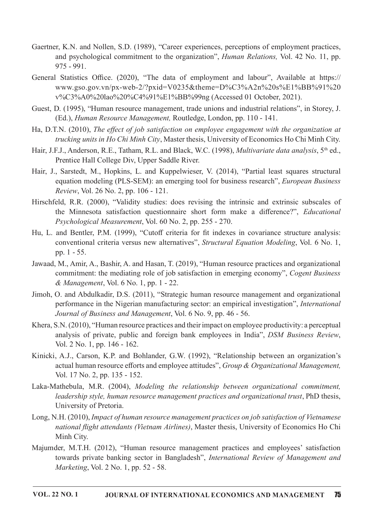- Gaertner, K.N. and Nollen, S.D. (1989), "Career experiences, perceptions of employment practices, and psychological commitment to the organization", Human Relations, Vol. 42 No. 11, pp.  $975 - 991$
- General Statistics Office. (2020), "The data of employment and labour", Available at https:// www.gso.gov.vn/px-web-2/?pxid=V0235&theme=D%C3%A2n%20s%E1%BB%91%20 v%C3%A0%20lao%20%C4%91%E1%BB%99ng(Accessed01October,2021).
- Guest, D. (1995), "Human resource management, trade unions and industrial relations", in Storey, J. (Ed.), Human Resource Management, Routledge, London, pp. 110 - 141.
- Ha, D.T.N. (2010), The effect of job satisfaction on employee engagement with the organization at trucking units in Ho Chi Minh City, Master thesis, University of Economics Ho Chi Minh City.
- Hair, J.F.J., Anderson, R.E., Tatham, R.L. and Black, W.C. (1998), *Multivariate data analysis*, 5<sup>th</sup> ed., Prentice Hall College Div, Upper Saddle River.
- Hair, J., Sarstedt, M., Hopkins, L. and Kuppelwieser, V. (2014), "Partial least squares structural equation modeling (PLS-SEM): an emerging tool for business research", *European Business* Review, Vol. 26 No. 2, pp. 106 - 121.
- Hirschfeld, R.R. (2000), "Validity studies: does revising the intrinsic and extrinsic subscales of the Minnesota satisfaction questionnaire short form make a difference?", *Educational* Psychological Measurement, Vol. 60 No. 2, pp. 255 - 270.
- Hu, L. and Bentler, P.M. (1999), "Cutoff criteria for fit indexes in covariance structure analysis: conventional criteria versus new alternatives", Structural Equation Modeling, Vol. 6 No. 1, pp.  $1 - 55$ .
- Jawaad, M., Amir, A., Bashir, A. and Hasan, T. (2019), "Human resource practices and organizational commitment: the mediating role of job satisfaction in emerging economy", Cogent Business  $\&$  Management, Vol. 6 No. 1, pp. 1 - 22.
- Jimoh, O. and Abdulkadir, D.S. (2011), "Strategic human resource management and organizational performance in the Nigerian manufacturing sector: an empirical investigation", International Journal of Business and Management, Vol. 6 No. 9, pp. 46 - 56.
- Khera, S.N. (2010), "Human resource practices and their impact on employee productivity: a perceptual analysis of private, public and foreign bank employees in India", DSM Business Review, Vol.2No.1,pp.146-162.
- Kinicki,A.J., Carson, K.P. and Bohlander, G.W. (1992), "Relationship between an organization's actual human resource efforts and employee attitudes", Group & Organizational Management, Vol. 17 No. 2, pp. 135 - 152.
- Laka-Mathebula, M.R. (2004), Modeling the relationship between organizational commitment, leadership style, human resource management practices and organizational trust, PhD thesis, University of Pretoria.
- Long, N.H. (2010), Impact of human resource management practices on job satisfaction of Vietnamese national flight attendants (Vietnam Airlines), Master thesis, University of Economics Ho Chi Minh City.
- Majumder, M.T.H. (2012), "Human resource management practices and employees' satisfaction towards private banking sector in Bangladesh", International Review of Management and Marketing, Vol.  $2$  No.  $1$ , pp.  $52 - 58$ .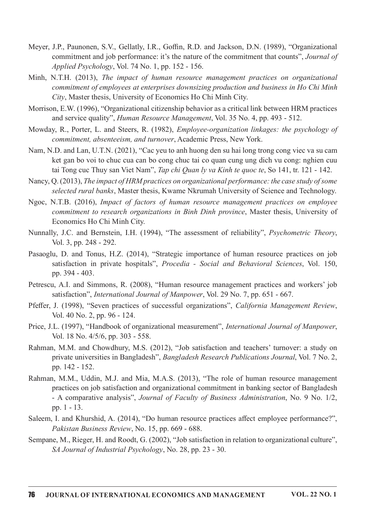- Meyer, J.P., Paunonen, S.V., Gellatly, I.R., Goffin, R.D. and Jackson, D.N. (1989), "Organizational commitment and job performance: it's the nature of the commitment that counts", Journal of Applied Psychology, Vol. 74 No. 1, pp. 152 - 156.
- Minh, N.T.H. (2013), The impact of human resource management practices on organizational commitment of employees at enterprises downsizing production and business in Ho Chi Minh City, Master thesis, University of Economics Ho Chi Minh City.
- Morrison, E.W. (1996), "Organizational citizenship behavior as a critical link between HRM practices and service quality", Human Resource Management, Vol. 35 No. 4, pp. 493 - 512.
- Mowday, R., Porter, L. and Steers, R. (1982), Employee-organization linkages: the psychology of commitment, absenteeism, and turnover, Academic Press, New York.
- Nam, N.D. and Lan, U.T.N. (2021), "Cac yeu to anh huong den su hai long trong cong viec va su cam ket gan bo voi to chuc cua can bo cong chuc tai co quan cung ung dich vu cong: nghien cuu tai Tong cuc Thuy san Viet Nam", Tap chi Quan ly va Kinh te quoc te, So 141, tr. 121 - 142.
- Nancy, Q. (2013), The impact of HRM practices on organizational performance: the case study of some selected rural banks, Master thesis, Kwame Nkrumah University of Science and Technology.
- Ngoc, N.T.B. (2016), Impact of factors of human resource management practices on employee commitment to research organizations in Binh Dinh province, Master thesis, University of Economics Ho Chi Minh City.
- Nunnally, J.C. and Bernstein, I.H. (1994), "The assessment of reliability", Psychometric Theory, Vol. 3, pp. 248 - 292.
- Pasaoglu, D. and Tonus, H.Z. (2014), "Strategic importance of human resource practices on job satisfaction in private hospitals", Procedia - Social and Behavioral Sciences, Vol. 150, pp. 394 - 403.
- Petrescu, A.I. and Simmons, R. (2008), "Human resource management practices and workers' job satisfaction", *International Journal of Manpower*, Vol. 29 No. 7, pp. 651 - 667.
- Pfeffer, J. (1998), "Seven practices of successful organizations", California Management Review, Vol.40No.2,pp.96-124.
- Price, J.L. (1997), "Handbook of organizational measurement", International Journal of Manpower, Vol.18No.4/5/6,pp.303-558.
- Rahman, M.M. and Chowdhury, M.S. (2012), "Job satisfaction and teachers' turnover: a study on private universities in Bangladesh", Bangladesh Research Publications Journal, Vol. 7 No. 2, pp. 142 - 152.
- Rahman, M.M., Uddin, M.J. and Mia, M.A.S. (2013), "The role of human resource management practices on job satisfaction and organizational commitment in banking sector of Bangladesh - A comparative analysis", Journal of Faculty of Business Administration, No. 9 No. 1/2, pp.  $1 - 13$ .
- Saleem, I. and Khurshid, A. (2014), "Do human resource practices affect employee performance?", Pakistan Business Review, No. 15, pp. 669 - 688.
- Sempane, M., Rieger, H. and Roodt, G. (2002), "Job satisfaction in relation to organizational culture", SA Journal of Industrial Psychology, No. 28, pp. 23 - 30.